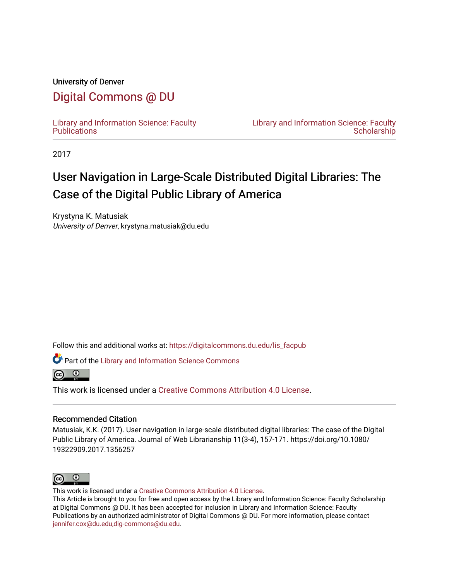# University of Denver

# [Digital Commons @ DU](https://digitalcommons.du.edu/)

[Library and Information Science: Faculty](https://digitalcommons.du.edu/lis_facpub)  **Publications** 

[Library and Information Science: Faculty](https://digitalcommons.du.edu/lis_faculty)  **Scholarship** 

2017

# User Navigation in Large-Scale Distributed Digital Libraries: The Case of the Digital Public Library of America

Krystyna K. Matusiak University of Denver, krystyna.matusiak@du.edu

Follow this and additional works at: [https://digitalcommons.du.edu/lis\\_facpub](https://digitalcommons.du.edu/lis_facpub?utm_source=digitalcommons.du.edu%2Flis_facpub%2F7&utm_medium=PDF&utm_campaign=PDFCoverPages) 

**C** Part of the Library and Information Science Commons



This work is licensed under a [Creative Commons Attribution 4.0 License](https://creativecommons.org/licenses/by/4.0/).

#### Recommended Citation

Matusiak, K.K. (2017). User navigation in large-scale distributed digital libraries: The case of the Digital Public Library of America. Journal of Web Librarianship 11(3-4), 157-171. https://doi.org/10.1080/ 19322909.2017.1356257



This work is licensed under a [Creative Commons Attribution 4.0 License](https://creativecommons.org/licenses/by/4.0/).

This Article is brought to you for free and open access by the Library and Information Science: Faculty Scholarship at Digital Commons @ DU. It has been accepted for inclusion in Library and Information Science: Faculty Publications by an authorized administrator of Digital Commons @ DU. For more information, please contact [jennifer.cox@du.edu,dig-commons@du.edu](mailto:jennifer.cox@du.edu,dig-commons@du.edu).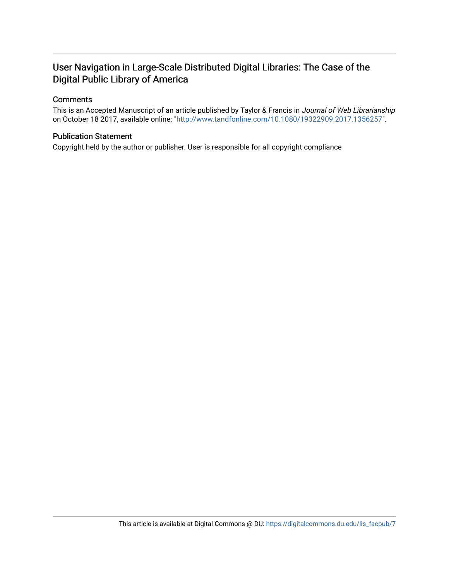# User Navigation in Large-Scale Distributed Digital Libraries: The Case of the Digital Public Library of America

#### **Comments**

This is an Accepted Manuscript of an article published by Taylor & Francis in Journal of Web Librarianship on October 18 2017, available online: "[http://www.tandfonline.com/10.1080/19322909.2017.1356257"](http://www.tandfonline.com/10.1080/19322909.2017.1356257).

#### Publication Statement

Copyright held by the author or publisher. User is responsible for all copyright compliance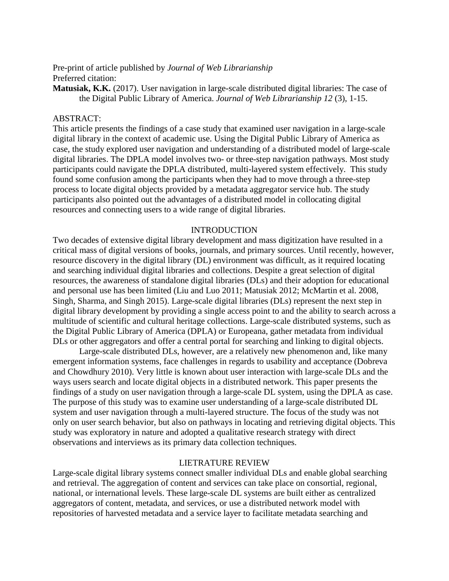Pre-print of article published by *Journal of Web Librarianship* Preferred citation:

**Matusiak, K.K.** (2017). User navigation in large-scale distributed digital libraries: The case of the Digital Public Library of America. *Journal of Web Librarianship 12* (3), 1-15.

#### ABSTRACT:

This article presents the findings of a case study that examined user navigation in a large-scale digital library in the context of academic use. Using the Digital Public Library of America as case, the study explored user navigation and understanding of a distributed model of large-scale digital libraries. The DPLA model involves two- or three-step navigation pathways. Most study participants could navigate the DPLA distributed, multi-layered system effectively. This study found some confusion among the participants when they had to move through a three-step process to locate digital objects provided by a metadata aggregator service hub. The study participants also pointed out the advantages of a distributed model in collocating digital resources and connecting users to a wide range of digital libraries.

### INTRODUCTION

Two decades of extensive digital library development and mass digitization have resulted in a critical mass of digital versions of books, journals, and primary sources. Until recently, however, resource discovery in the digital library (DL) environment was difficult, as it required locating and searching individual digital libraries and collections. Despite a great selection of digital resources, the awareness of standalone digital libraries (DLs) and their adoption for educational and personal use has been limited (Liu and Luo 2011; Matusiak 2012; McMartin et al. 2008, Singh, Sharma, and Singh 2015). Large-scale digital libraries (DLs) represent the next step in digital library development by providing a single access point to and the ability to search across a multitude of scientific and cultural heritage collections. Large-scale distributed systems, such as the Digital Public Library of America (DPLA) or Europeana, gather metadata from individual DLs or other aggregators and offer a central portal for searching and linking to digital objects.

Large-scale distributed DLs, however, are a relatively new phenomenon and, like many emergent information systems, face challenges in regards to usability and acceptance (Dobreva and Chowdhury 2010). Very little is known about user interaction with large-scale DLs and the ways users search and locate digital objects in a distributed network. This paper presents the findings of a study on user navigation through a large-scale DL system, using the DPLA as case. The purpose of this study was to examine user understanding of a large-scale distributed DL system and user navigation through a multi-layered structure. The focus of the study was not only on user search behavior, but also on pathways in locating and retrieving digital objects. This study was exploratory in nature and adopted a qualitative research strategy with direct observations and interviews as its primary data collection techniques.

#### LIETRATURE REVIEW

Large-scale digital library systems connect smaller individual DLs and enable global searching and retrieval. The aggregation of content and services can take place on consortial, regional, national, or international levels. These large-scale DL systems are built either as centralized aggregators of content, metadata, and services, or use a distributed network model with repositories of harvested metadata and a service layer to facilitate metadata searching and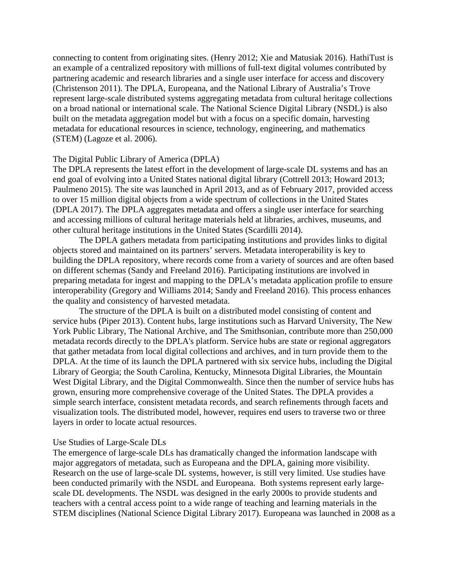connecting to content from originating sites. (Henry 2012; Xie and Matusiak 2016). HathiTust is an example of a centralized repository with millions of full-text digital volumes contributed by partnering academic and research libraries and a single user interface for access and discovery (Christenson 2011). The DPLA, Europeana, and the National Library of Australia's Trove represent large-scale distributed systems aggregating metadata from cultural heritage collections on a broad national or international scale. The National Science Digital Library (NSDL) is also built on the metadata aggregation model but with a focus on a specific domain, harvesting metadata for educational resources in science, technology, engineering, and mathematics (STEM) (Lagoze et al. 2006).

#### The Digital Public Library of America (DPLA)

The DPLA represents the latest effort in the development of large-scale DL systems and has an end goal of evolving into a United States national digital library (Cottrell 2013; Howard 2013; Paulmeno 2015). The site was launched in April 2013, and as of February 2017, provided access to over 15 million digital objects from a wide spectrum of collections in the United States (DPLA 2017). The DPLA aggregates metadata and offers a single user interface for searching and accessing millions of cultural heritage materials held at libraries, archives, museums, and other cultural heritage institutions in the United States (Scardilli 2014).

The DPLA gathers metadata from participating institutions and provides links to digital objects stored and maintained on its partners' servers. Metadata interoperability is key to building the DPLA repository, where records come from a variety of sources and are often based on different schemas (Sandy and Freeland 2016). Participating institutions are involved in preparing metadata for ingest and mapping to the DPLA's metadata application profile to ensure interoperability (Gregory and Williams 2014; Sandy and Freeland 2016). This process enhances the quality and consistency of harvested metadata.

The structure of the DPLA is built on a distributed model consisting of content and service hubs (Piper 2013). Content hubs, large institutions such as Harvard University, The New York Public Library, The National Archive, and The Smithsonian, contribute more than 250,000 metadata records directly to the DPLA's platform. Service hubs are state or regional aggregators that gather metadata from local digital collections and archives, and in turn provide them to the DPLA. At the time of its launch the DPLA partnered with six service hubs, including the Digital Library of Georgia; the South Carolina, Kentucky, Minnesota Digital Libraries, the Mountain West Digital Library, and the Digital Commonwealth. Since then the number of service hubs has grown, ensuring more comprehensive coverage of the United States. The DPLA provides a simple search interface, consistent metadata records, and search refinements through facets and visualization tools. The distributed model, however, requires end users to traverse two or three layers in order to locate actual resources.

#### Use Studies of Large-Scale DLs

The emergence of large-scale DLs has dramatically changed the information landscape with major aggregators of metadata, such as Europeana and the DPLA, gaining more visibility. Research on the use of large-scale DL systems, however, is still very limited. Use studies have been conducted primarily with the NSDL and Europeana. Both systems represent early largescale DL developments. The NSDL was designed in the early 2000s to provide students and teachers with a central access point to a wide range of teaching and learning materials in the STEM disciplines (National Science Digital Library 2017). Europeana was launched in 2008 as a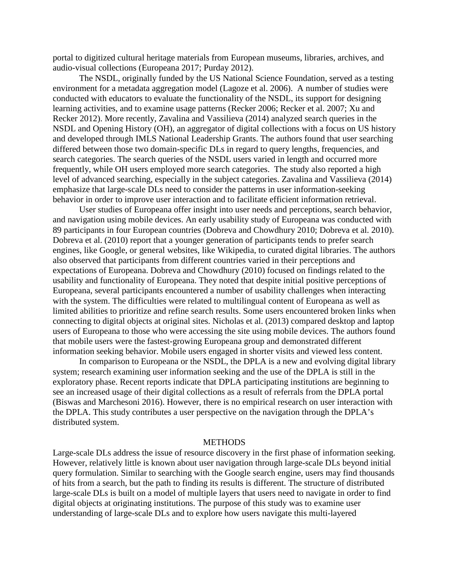portal to digitized cultural heritage materials from European museums, libraries, archives, and audio-visual collections (Europeana 2017; Purday 2012).

The NSDL, originally funded by the US National Science Foundation, served as a testing environment for a metadata aggregation model (Lagoze et al. 2006). A number of studies were conducted with educators to evaluate the functionality of the NSDL, its support for designing learning activities, and to examine usage patterns (Recker 2006; Recker et al. 2007; Xu and Recker 2012). More recently, Zavalina and Vassilieva (2014) analyzed search queries in the NSDL and Opening History (OH), an aggregator of digital collections with a focus on US history and developed through IMLS National Leadership Grants. The authors found that user searching differed between those two domain-specific DLs in regard to query lengths, frequencies, and search categories. The search queries of the NSDL users varied in length and occurred more frequently, while OH users employed more search categories. The study also reported a high level of advanced searching, especially in the subject categories. Zavalina and Vassilieva (2014) emphasize that large-scale DLs need to consider the patterns in user information-seeking behavior in order to improve user interaction and to facilitate efficient information retrieval.

User studies of Europeana offer insight into user needs and perceptions, search behavior, and navigation using mobile devices. An early usability study of Europeana was conducted with 89 participants in four European countries (Dobreva and Chowdhury 2010; Dobreva et al. 2010). Dobreva et al. (2010) report that a younger generation of participants tends to prefer search engines, like Google, or general websites, like Wikipedia, to curated digital libraries. The authors also observed that participants from different countries varied in their perceptions and expectations of Europeana. Dobreva and Chowdhury (2010) focused on findings related to the usability and functionality of Europeana. They noted that despite initial positive perceptions of Europeana, several participants encountered a number of usability challenges when interacting with the system. The difficulties were related to multilingual content of Europeana as well as limited abilities to prioritize and refine search results. Some users encountered broken links when connecting to digital objects at original sites. Nicholas et al. (2013) compared desktop and laptop users of Europeana to those who were accessing the site using mobile devices. The authors found that mobile users were the fastest-growing Europeana group and demonstrated different information seeking behavior. Mobile users engaged in shorter visits and viewed less content.

In comparison to Europeana or the NSDL, the DPLA is a new and evolving digital library system; research examining user information seeking and the use of the DPLA is still in the exploratory phase. Recent reports indicate that DPLA participating institutions are beginning to see an increased usage of their digital collections as a result of referrals from the DPLA portal (Biswas and Marchesoni 2016). However, there is no empirical research on user interaction with the DPLA. This study contributes a user perspective on the navigation through the DPLA's distributed system.

#### **METHODS**

Large-scale DLs address the issue of resource discovery in the first phase of information seeking. However, relatively little is known about user navigation through large-scale DLs beyond initial query formulation. Similar to searching with the Google search engine, users may find thousands of hits from a search, but the path to finding its results is different. The structure of distributed large-scale DLs is built on a model of multiple layers that users need to navigate in order to find digital objects at originating institutions. The purpose of this study was to examine user understanding of large-scale DLs and to explore how users navigate this multi-layered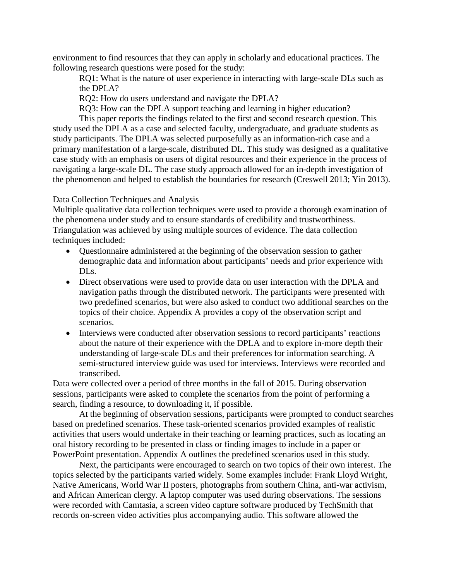environment to find resources that they can apply in scholarly and educational practices. The following research questions were posed for the study:

RQ1: What is the nature of user experience in interacting with large-scale DLs such as the DPLA?

RQ2: How do users understand and navigate the DPLA?

RQ3: How can the DPLA support teaching and learning in higher education?

This paper reports the findings related to the first and second research question. This study used the DPLA as a case and selected faculty, undergraduate, and graduate students as study participants. The DPLA was selected purposefully as an information-rich case and a primary manifestation of a large-scale, distributed DL. This study was designed as a qualitative case study with an emphasis on users of digital resources and their experience in the process of navigating a large-scale DL. The case study approach allowed for an in-depth investigation of the phenomenon and helped to establish the boundaries for research (Creswell 2013; Yin 2013).

### Data Collection Techniques and Analysis

Multiple qualitative data collection techniques were used to provide a thorough examination of the phenomena under study and to ensure standards of credibility and trustworthiness. Triangulation was achieved by using multiple sources of evidence. The data collection techniques included:

- Ouestionnaire administered at the beginning of the observation session to gather demographic data and information about participants' needs and prior experience with DLs.
- Direct observations were used to provide data on user interaction with the DPLA and navigation paths through the distributed network. The participants were presented with two predefined scenarios, but were also asked to conduct two additional searches on the topics of their choice. Appendix A provides a copy of the observation script and scenarios.
- Interviews were conducted after observation sessions to record participants' reactions about the nature of their experience with the DPLA and to explore in-more depth their understanding of large-scale DLs and their preferences for information searching. A semi-structured interview guide was used for interviews. Interviews were recorded and transcribed.

Data were collected over a period of three months in the fall of 2015. During observation sessions, participants were asked to complete the scenarios from the point of performing a search, finding a resource, to downloading it, if possible.

At the beginning of observation sessions, participants were prompted to conduct searches based on predefined scenarios. These task-oriented scenarios provided examples of realistic activities that users would undertake in their teaching or learning practices, such as locating an oral history recording to be presented in class or finding images to include in a paper or PowerPoint presentation. Appendix A outlines the predefined scenarios used in this study.

Next, the participants were encouraged to search on two topics of their own interest. The topics selected by the participants varied widely. Some examples include: Frank Lloyd Wright, Native Americans, World War II posters, photographs from southern China, anti-war activism, and African American clergy. A laptop computer was used during observations. The sessions were recorded with Camtasia, a screen video capture software produced by TechSmith that records on-screen video activities plus accompanying audio. This software allowed the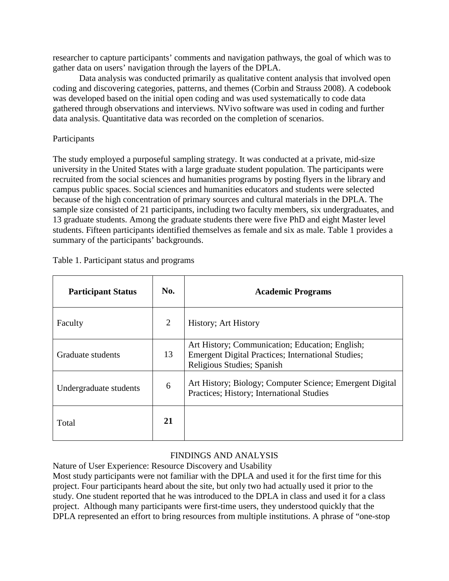researcher to capture participants' comments and navigation pathways, the goal of which was to gather data on users' navigation through the layers of the DPLA.

Data analysis was conducted primarily as qualitative content analysis that involved open coding and discovering categories, patterns, and themes (Corbin and Strauss 2008). A codebook was developed based on the initial open coding and was used systematically to code data gathered through observations and interviews. NVivo software was used in coding and further data analysis. Quantitative data was recorded on the completion of scenarios.

## Participants

The study employed a purposeful sampling strategy. It was conducted at a private, mid-size university in the United States with a large graduate student population. The participants were recruited from the social sciences and humanities programs by posting flyers in the library and campus public spaces. Social sciences and humanities educators and students were selected because of the high concentration of primary sources and cultural materials in the DPLA. The sample size consisted of 21 participants, including two faculty members, six undergraduates, and 13 graduate students. Among the graduate students there were five PhD and eight Master level students. Fifteen participants identified themselves as female and six as male. Table 1 provides a summary of the participants' backgrounds.

| <b>Participant Status</b> | No. | <b>Academic Programs</b>                                                                                                                   |
|---------------------------|-----|--------------------------------------------------------------------------------------------------------------------------------------------|
| Faculty                   | 2   | History; Art History                                                                                                                       |
| Graduate students         | 13  | Art History; Communication; Education; English;<br><b>Emergent Digital Practices; International Studies;</b><br>Religious Studies; Spanish |
| Undergraduate students    | 6   | Art History; Biology; Computer Science; Emergent Digital<br>Practices; History; International Studies                                      |
| Total                     | 21  |                                                                                                                                            |

Table 1. Participant status and programs

## FINDINGS AND ANALYSIS

Nature of User Experience: Resource Discovery and Usability Most study participants were not familiar with the DPLA and used it for the first time for this project. Four participants heard about the site, but only two had actually used it prior to the study. One student reported that he was introduced to the DPLA in class and used it for a class project. Although many participants were first-time users, they understood quickly that the DPLA represented an effort to bring resources from multiple institutions. A phrase of "one-stop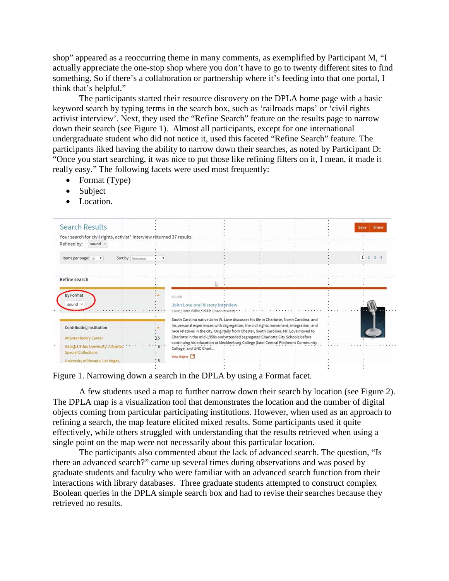shop" appeared as a reoccurring theme in many comments, as exemplified by Participant M, "I actually appreciate the one-stop shop where you don't have to go to twenty different sites to find something. So if there's a collaboration or partnership where it's feeding into that one portal, I think that's helpful."

The participants started their resource discovery on the DPLA home page with a basic keyword search by typing terms in the search box, such as 'railroads maps' or 'civil rights activist interview'. Next, they used the "Refine Search" feature on the results page to narrow down their search (see Figure 1). Almost all participants, except for one international undergraduate student who did not notice it, used this faceted "Refine Search" feature. The participants liked having the ability to narrow down their searches, as noted by Participant D: "Once you start searching, it was nice to put those like refining filters on it, I mean, it made it really easy." The following facets were used most frequently:

- Format (Type)
- Subject
- Location.



Figure 1. Narrowing down a search in the DPLA by using a Format facet.

A few students used a map to further narrow down their search by location (see Figure 2). The DPLA map is a visualization tool that demonstrates the location and the number of digital objects coming from particular participating institutions. However, when used as an approach to refining a search, the map feature elicited mixed results. Some participants used it quite effectively, while others struggled with understanding that the results retrieved when using a single point on the map were not necessarily about this particular location.

The participants also commented about the lack of advanced search. The question, "Is there an advanced search?" came up several times during observations and was posed by graduate students and faculty who were familiar with an advanced search function from their interactions with library databases. Three graduate students attempted to construct complex Boolean queries in the DPLA simple search box and had to revise their searches because they retrieved no results.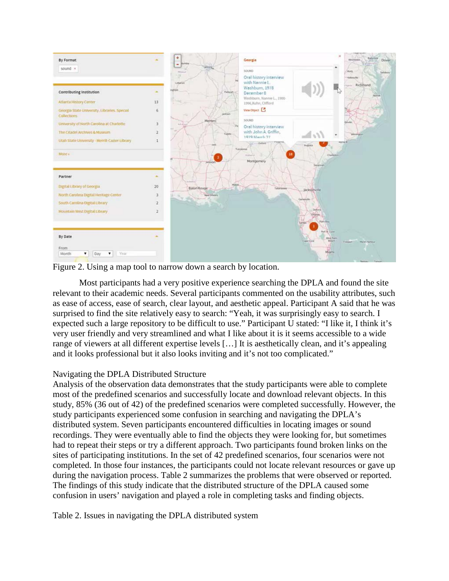

Figure 2. Using a map tool to narrow down a search by location.

Most participants had a very positive experience searching the DPLA and found the site relevant to their academic needs. Several participants commented on the usability attributes, such as ease of access, ease of search, clear layout, and aesthetic appeal. Participant A said that he was surprised to find the site relatively easy to search: "Yeah, it was surprisingly easy to search. I expected such a large repository to be difficult to use." Participant U stated: "I like it, I think it's very user friendly and very streamlined and what I like about it is it seems accessible to a wide range of viewers at all different expertise levels […] It is aesthetically clean, and it's appealing and it looks professional but it also looks inviting and it's not too complicated."

### Navigating the DPLA Distributed Structure

Analysis of the observation data demonstrates that the study participants were able to complete most of the predefined scenarios and successfully locate and download relevant objects. In this study, 85% (36 out of 42) of the predefined scenarios were completed successfully. However, the study participants experienced some confusion in searching and navigating the DPLA's distributed system. Seven participants encountered difficulties in locating images or sound recordings. They were eventually able to find the objects they were looking for, but sometimes had to repeat their steps or try a different approach. Two participants found broken links on the sites of participating institutions. In the set of 42 predefined scenarios, four scenarios were not completed. In those four instances, the participants could not locate relevant resources or gave up during the navigation process. Table 2 summarizes the problems that were observed or reported. The findings of this study indicate that the distributed structure of the DPLA caused some confusion in users' navigation and played a role in completing tasks and finding objects.

Table 2. Issues in navigating the DPLA distributed system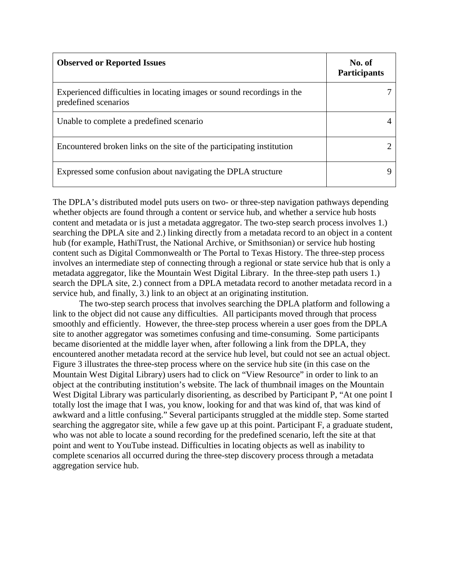| <b>Observed or Reported Issues</b>                                                             | No. of<br><b>Participants</b> |
|------------------------------------------------------------------------------------------------|-------------------------------|
| Experienced difficulties in locating images or sound recordings in the<br>predefined scenarios |                               |
| Unable to complete a predefined scenario                                                       |                               |
| Encountered broken links on the site of the participating institution                          |                               |
| Expressed some confusion about navigating the DPLA structure                                   |                               |

The DPLA's distributed model puts users on two- or three-step navigation pathways depending whether objects are found through a content or service hub, and whether a service hub hosts content and metadata or is just a metadata aggregator. The two-step search process involves 1.) searching the DPLA site and 2.) linking directly from a metadata record to an object in a content hub (for example, HathiTrust, the National Archive, or Smithsonian) or service hub hosting content such as Digital Commonwealth or The Portal to Texas History. The three-step process involves an intermediate step of connecting through a regional or state service hub that is only a metadata aggregator, like the Mountain West Digital Library. In the three-step path users 1.) search the DPLA site, 2.) connect from a DPLA metadata record to another metadata record in a service hub, and finally, 3.) link to an object at an originating institution.

The two-step search process that involves searching the DPLA platform and following a link to the object did not cause any difficulties. All participants moved through that process smoothly and efficiently. However, the three-step process wherein a user goes from the DPLA site to another aggregator was sometimes confusing and time-consuming. Some participants became disoriented at the middle layer when, after following a link from the DPLA, they encountered another metadata record at the service hub level, but could not see an actual object. Figure 3 illustrates the three-step process where on the service hub site (in this case on the Mountain West Digital Library) users had to click on "View Resource" in order to link to an object at the contributing institution's website. The lack of thumbnail images on the Mountain West Digital Library was particularly disorienting, as described by Participant P, "At one point I totally lost the image that I was, you know, looking for and that was kind of, that was kind of awkward and a little confusing." Several participants struggled at the middle step. Some started searching the aggregator site, while a few gave up at this point. Participant F, a graduate student, who was not able to locate a sound recording for the predefined scenario, left the site at that point and went to YouTube instead. Difficulties in locating objects as well as inability to complete scenarios all occurred during the three-step discovery process through a metadata aggregation service hub.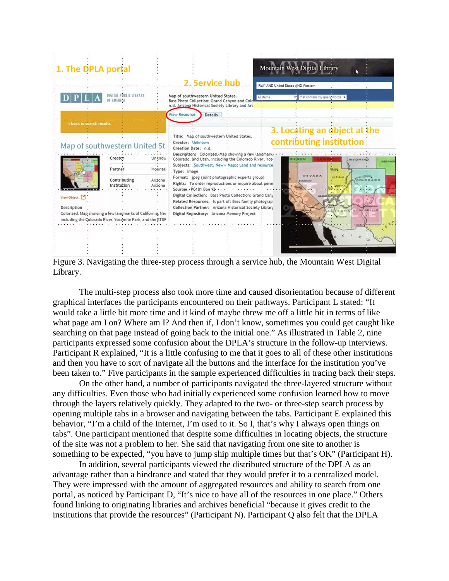

Figure 3. Navigating the three-step process through a service hub, the Mountain West Digital Library.

The multi-step process also took more time and caused disorientation because of different graphical interfaces the participants encountered on their pathways. Participant L stated: "It would take a little bit more time and it kind of maybe threw me off a little bit in terms of like what page am I on? Where am I? And then if, I don't know, sometimes you could get caught like searching on that page instead of going back to the initial one." As illustrated in Table 2, nine participants expressed some confusion about the DPLA's structure in the follow-up interviews. Participant R explained, "It is a little confusing to me that it goes to all of these other institutions and then you have to sort of navigate all the buttons and the interface for the institution you've been taken to." Five participants in the sample experienced difficulties in tracing back their steps.

On the other hand, a number of participants navigated the three-layered structure without any difficulties. Even those who had initially experienced some confusion learned how to move through the layers relatively quickly. They adapted to the two- or three-step search process by opening multiple tabs in a browser and navigating between the tabs. Participant E explained this behavior, "I'm a child of the Internet, I'm used to it. So I, that's why I always open things on tabs". One participant mentioned that despite some difficulties in locating objects, the structure of the site was not a problem to her. She said that navigating from one site to another is something to be expected, "you have to jump ship multiple times but that's OK" (Participant H).

In addition, several participants viewed the distributed structure of the DPLA as an advantage rather than a hindrance and stated that they would prefer it to a centralized model. They were impressed with the amount of aggregated resources and ability to search from one portal, as noticed by Participant D, "It's nice to have all of the resources in one place." Others found linking to originating libraries and archives beneficial "because it gives credit to the institutions that provide the resources" (Participant N). Participant Q also felt that the DPLA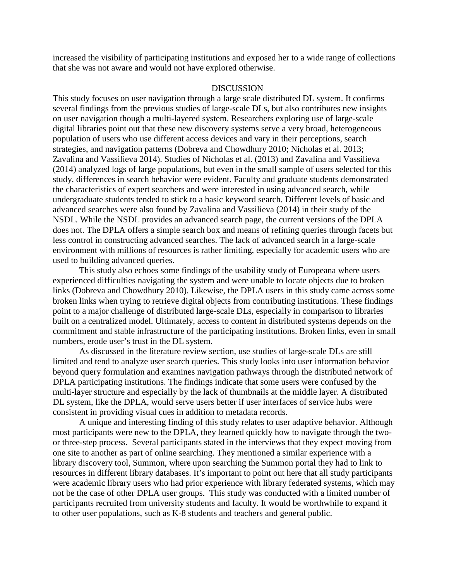increased the visibility of participating institutions and exposed her to a wide range of collections that she was not aware and would not have explored otherwise.

#### DISCUSSION

This study focuses on user navigation through a large scale distributed DL system. It confirms several findings from the previous studies of large-scale DLs, but also contributes new insights on user navigation though a multi-layered system. Researchers exploring use of large-scale digital libraries point out that these new discovery systems serve a very broad, heterogeneous population of users who use different access devices and vary in their perceptions, search strategies, and navigation patterns (Dobreva and Chowdhury 2010; Nicholas et al. 2013; Zavalina and Vassilieva 2014). Studies of Nicholas et al. (2013) and Zavalina and Vassilieva (2014) analyzed logs of large populations, but even in the small sample of users selected for this study, differences in search behavior were evident. Faculty and graduate students demonstrated the characteristics of expert searchers and were interested in using advanced search, while undergraduate students tended to stick to a basic keyword search. Different levels of basic and advanced searches were also found by Zavalina and Vassilieva (2014) in their study of the NSDL. While the NSDL provides an advanced search page, the current versions of the DPLA does not. The DPLA offers a simple search box and means of refining queries through facets but less control in constructing advanced searches. The lack of advanced search in a large-scale environment with millions of resources is rather limiting, especially for academic users who are used to building advanced queries.

This study also echoes some findings of the usability study of Europeana where users experienced difficulties navigating the system and were unable to locate objects due to broken links (Dobreva and Chowdhury 2010). Likewise, the DPLA users in this study came across some broken links when trying to retrieve digital objects from contributing institutions. These findings point to a major challenge of distributed large-scale DLs, especially in comparison to libraries built on a centralized model. Ultimately, access to content in distributed systems depends on the commitment and stable infrastructure of the participating institutions. Broken links, even in small numbers, erode user's trust in the DL system.

As discussed in the literature review section, use studies of large-scale DLs are still limited and tend to analyze user search queries. This study looks into user information behavior beyond query formulation and examines navigation pathways through the distributed network of DPLA participating institutions. The findings indicate that some users were confused by the multi-layer structure and especially by the lack of thumbnails at the middle layer. A distributed DL system, like the DPLA, would serve users better if user interfaces of service hubs were consistent in providing visual cues in addition to metadata records.

A unique and interesting finding of this study relates to user adaptive behavior. Although most participants were new to the DPLA, they learned quickly how to navigate through the twoor three-step process. Several participants stated in the interviews that they expect moving from one site to another as part of online searching. They mentioned a similar experience with a library discovery tool, Summon, where upon searching the Summon portal they had to link to resources in different library databases. It's important to point out here that all study participants were academic library users who had prior experience with library federated systems, which may not be the case of other DPLA user groups. This study was conducted with a limited number of participants recruited from university students and faculty. It would be worthwhile to expand it to other user populations, such as K-8 students and teachers and general public.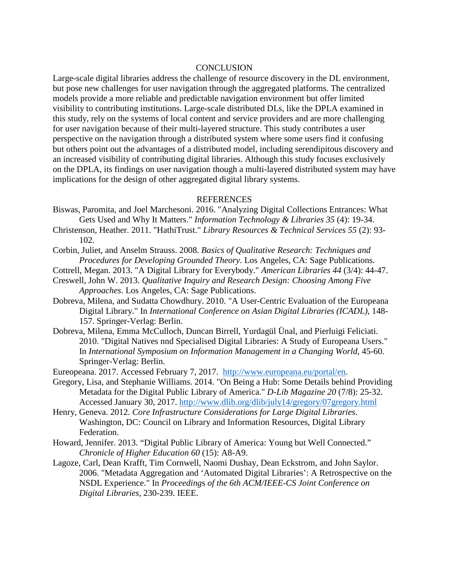#### **CONCLUSION**

Large-scale digital libraries address the challenge of resource discovery in the DL environment, but pose new challenges for user navigation through the aggregated platforms. The centralized models provide a more reliable and predictable navigation environment but offer limited visibility to contributing institutions. Large-scale distributed DLs, like the DPLA examined in this study, rely on the systems of local content and service providers and are more challenging for user navigation because of their multi-layered structure. This study contributes a user perspective on the navigation through a distributed system where some users find it confusing but others point out the advantages of a distributed model, including serendipitous discovery and an increased visibility of contributing digital libraries. Although this study focuses exclusively on the DPLA, its findings on user navigation though a multi-layered distributed system may have implications for the design of other aggregated digital library systems.

#### **REFERENCES**

- Biswas, Paromita, and Joel Marchesoni. 2016. "Analyzing Digital Collections Entrances: What Gets Used and Why It Matters." *Information Technology & Libraries 35* (4): 19-34.
- Christenson, Heather. 2011. "HathiTrust." *Library Resources & Technical Services 55* (2): 93- 102.
- Corbin, Juliet, and Anselm Strauss. 2008. *Basics of Qualitative Research: Techniques and Procedures for Developing Grounded Theory*. Los Angeles, CA: Sage Publications.
- Cottrell, Megan. 2013. "A Digital Library for Everybody." *American Libraries 44* (3/4): 44-47.
- Creswell, John W. 2013. *Qualitative Inquiry and Research Design: Choosing Among Five Approaches*. Los Angeles, CA: Sage Publications.
- Dobreva, Milena, and Sudatta Chowdhury. 2010. "A User-Centric Evaluation of the Europeana Digital Library." In *International Conference on Asian Digital Libraries (ICADL)*, 148- 157. Springer-Verlag: Berlin.
- Dobreva, Milena, Emma McCulloch, Duncan Birrell, Yurdagül Ünal, and Pierluigi Feliciati. 2010. "Digital Natives nnd Specialised Digital Libraries: A Study of Europeana Users." In *International Symposium on Information Management in a Changing World*, 45-60. Springer-Verlag: Berlin.
- Eureopeana. 2017. Accessed February 7, 2017. [http://www.europeana.eu/portal/en.](http://www.europeana.eu/portal/en)
- Gregory, Lisa, and Stephanie Williams. 2014. "On Being a Hub: Some Details behind Providing Metadata for the Digital Public Library of America." *D-Lib Magazine 20* (7/8): 25-32. Accessed January 30, 2017.<http://www.dlib.org/dlib/july14/gregory/07gregory.html>
- Henry, Geneva. 2012. *Core Infrastructure Considerations for Large Digital Libraries*. Washington, DC: Council on Library and Information Resources, Digital Library Federation.
- Howard, Jennifer. 2013. "Digital Public Library of America: Young but Well Connected." *Chronicle of Higher Education 60* (15): A8-A9.
- Lagoze, Carl, Dean Krafft, Tim Cornwell, Naomi Dushay, Dean Eckstrom, and John Saylor. 2006. "Metadata Aggregation and 'Automated Digital Libraries': A Retrospective on the NSDL Experience." In *Proceeding*s *of the 6th ACM/IEEE-CS Joint Conference on Digital Libraries,* 230-239. IEEE.